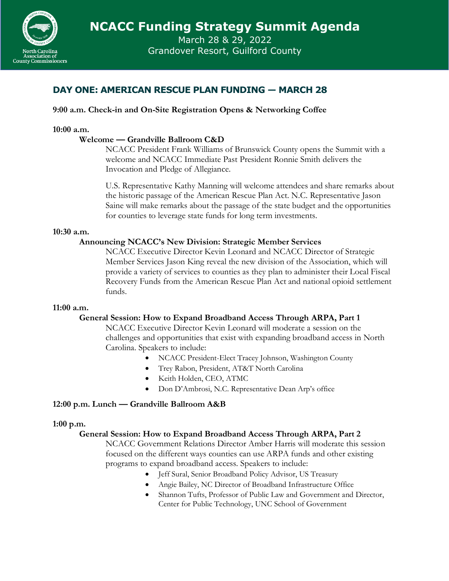

March 28 & 29, 2022 Grandover Resort, Guilford County

# **DAY ONE: AMERICAN RESCUE PLAN FUNDING — MARCH 28**

## **9:00 a.m. Check-in and On-Site Registration Opens & Networking Coffee**

#### **10:00 a.m.**

### **Welcome — Grandville Ballroom C&D**

NCACC President Frank Williams of Brunswick County opens the Summit with a welcome and NCACC Immediate Past President Ronnie Smith delivers the Invocation and Pledge of Allegiance.

U.S. Representative Kathy Manning will welcome attendees and share remarks about the historic passage of the American Rescue Plan Act. N.C. Representative Jason Saine will make remarks about the passage of the state budget and the opportunities for counties to leverage state funds for long term investments.

#### **10:30 a.m.**

### **Announcing NCACC's New Division: Strategic Member Services**

NCACC Executive Director Kevin Leonard and NCACC Director of Strategic Member Services Jason King reveal the new division of the Association, which will provide a variety of services to counties as they plan to administer their Local Fiscal Recovery Funds from the American Rescue Plan Act and national opioid settlement funds.

#### **11:00 a.m.**

## **General Session: How to Expand Broadband Access Through ARPA, Part 1**

NCACC Executive Director Kevin Leonard will moderate a session on the challenges and opportunities that exist with expanding broadband access in North Carolina. Speakers to include:

- NCACC President-Elect Tracey Johnson, Washington County
- Trey Rabon, President, AT&T North Carolina
- Keith Holden, CEO, ATMC
- Don D'Ambrosi, N.C. Representative Dean Arp's office

#### **12:00 p.m. Lunch — Grandville Ballroom A&B**

#### **1:00 p.m.**

## **General Session: How to Expand Broadband Access Through ARPA, Part 2**

NCACC Government Relations Director Amber Harris will moderate this session focused on the different ways counties can use ARPA funds and other existing programs to expand broadband access. Speakers to include:

- Jeff Sural, Senior Broadband Policy Advisor, US Treasury
- Angie Bailey, NC Director of Broadband Infrastructure Office
- Shannon Tufts, Professor of Public Law and Government and Director, Center for Public Technology, UNC School of Government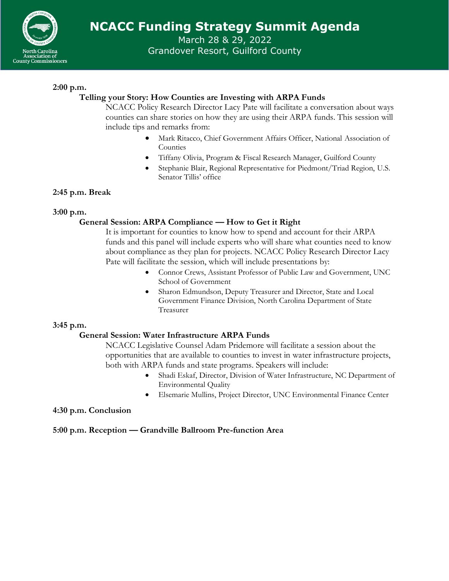

March 28 & 29, 2022 Grandover Resort, Guilford County

## **2:00 p.m.**

## **Telling your Story: How Counties are Investing with ARPA Funds**

NCACC Policy Research Director Lacy Pate will facilitate a conversation about ways counties can share stories on how they are using their ARPA funds. This session will include tips and remarks from:

- Mark Ritacco, Chief Government Affairs Officer, National Association of Counties
- Tiffany Olivia, Program & Fiscal Research Manager, Guilford County
- Stephanie Blair, Regional Representative for Piedmont/Triad Region, U.S. Senator Tillis' office

## **2:45 p.m. Break**

**3:00 p.m.**

## **General Session: ARPA Compliance — How to Get it Right**

It is important for counties to know how to spend and account for their ARPA funds and this panel will include experts who will share what counties need to know about compliance as they plan for projects. NCACC Policy Research Director Lacy Pate will facilitate the session, which will include presentations by:

- Connor Crews, Assistant Professor of Public Law and Government, UNC School of Government
- Sharon Edmundson, Deputy Treasurer and Director, State and Local Government Finance Division, North Carolina Department of State Treasurer

## **3:45 p.m.**

## **General Session: Water Infrastructure ARPA Funds**

NCACC Legislative Counsel Adam Pridemore will facilitate a session about the opportunities that are available to counties to invest in water infrastructure projects, both with ARPA funds and state programs. Speakers will include:

- Shadi Eskaf, Director, Division of Water Infrastructure, NC Department of Environmental Quality
- Elsemarie Mullins, Project Director, UNC Environmental Finance Center

#### **4:30 p.m. Conclusion**

**5:00 p.m. Reception — Grandville Ballroom Pre-function Area**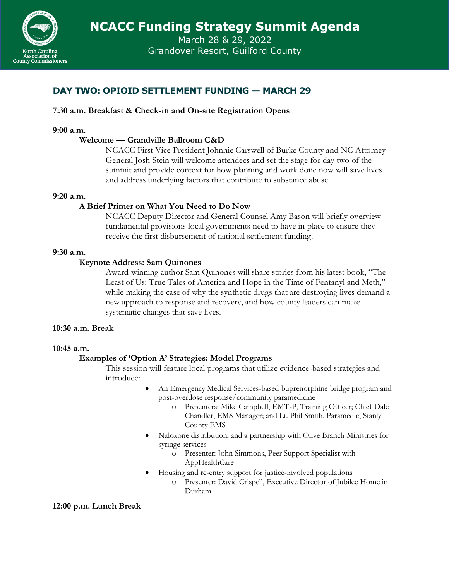

March 28 & 29, 2022 Grandover Resort, Guilford County

# **DAY TWO: OPIOID SETTLEMENT FUNDING — MARCH 29**

## **7:30 a.m. Breakfast & Check-in and On-site Registration Opens**

#### **9:00 a.m.**

#### **Welcome — Grandville Ballroom C&D**

NCACC First Vice President Johnnie Carswell of Burke County and NC Attorney General Josh Stein will welcome attendees and set the stage for day two of the summit and provide context for how planning and work done now will save lives and address underlying factors that contribute to substance abuse.

#### **9:20 a.m.**

### **A Brief Primer on What You Need to Do Now**

NCACC Deputy Director and General Counsel Amy Bason will briefly overview fundamental provisions local governments need to have in place to ensure they receive the first disbursement of national settlement funding.

#### **9:30 a.m.**

#### **Keynote Address: Sam Quinones**

Award-winning author Sam Quinones will share stories from his latest book, "The Least of Us: True Tales of America and Hope in the Time of Fentanyl and Meth," while making the case of why the synthetic drugs that are destroying lives demand a new approach to response and recovery, and how county leaders can make systematic changes that save lives.

#### **10:30 a.m. Break**

#### **10:45 a.m.**

#### **Examples of 'Option A' Strategies: Model Programs**

This session will feature local programs that utilize evidence-based strategies and introduce:

- An Emergency Medical Services-based buprenorphine bridge program and post-overdose response/community paramedicine
	- o Presenters: Mike Campbell, EMT-P, Training Officer; Chief Dale Chandler, EMS Manager; and Lt. Phil Smith, Paramedic, Stanly County EMS
- Naloxone distribution, and a partnership with Olive Branch Ministries for syringe services
	- o Presenter: John Simmons, Peer Support Specialist with AppHealthCare
- Housing and re-entry support for justice-involved populations
	- o Presenter: David Crispell, Executive Director of Jubilee Home in Durham

#### **12:00 p.m. Lunch Break**